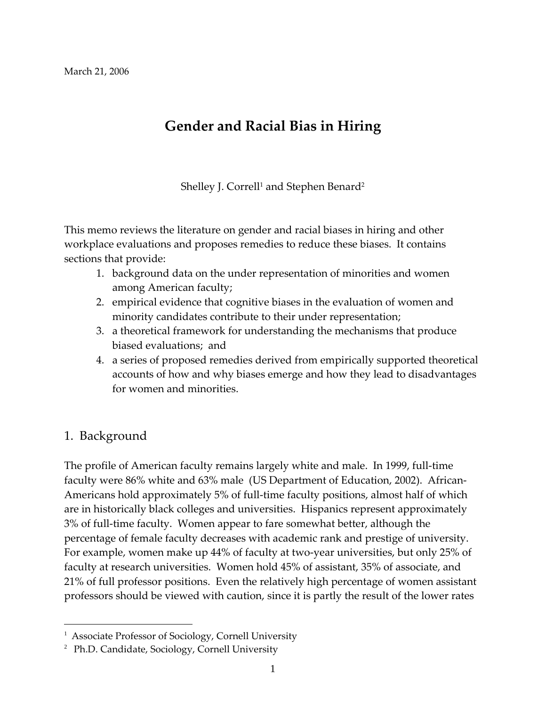# **Gender and Racial Bias in Hiring**

Shelley J. Correll<sup>1</sup> and Stephen Benard<sup>2</sup>

This memo reviews the literature on gender and racial biases in hiring and other workplace evaluations and proposes remedies to reduce these biases. It contains sections that provide:

- 1. background data on the under representation of minorities and women among American faculty;
- 2. empirical evidence that cognitive biases in the evaluation of women and minority candidates contribute to their under representation;
- 3. a theoretical framework for understanding the mechanisms that produce biased evaluations; and
- 4. a series of proposed remedies derived from empirically supported theoretical accounts of how and why biases emerge and how they lead to disadvantages for women and minorities.

### 1. Background

 $\overline{a}$ 

The profile of American faculty remains largely white and male. In 1999, full‐time faculty were 86% white and 63% male (US Department of Education, 2002). African‐ Americans hold approximately 5% of full‐time faculty positions, almost half of which are in historically black colleges and universities. Hispanics represent approximately 3% of full-time faculty. Women appear to fare somewhat better, although the percentage of female faculty decreases with academic rank and prestige of university. For example, women make up 44% of faculty at two‐year universities, but only 25% of faculty at research universities. Women hold 45% of assistant, 35% of associate, and 21% of full professor positions. Even the relatively high percentage of women assistant professors should be viewed with caution, since it is partly the result of the lower rates

<sup>&</sup>lt;sup>1</sup> Associate Professor of Sociology, Cornell University

<sup>&</sup>lt;sup>2</sup> Ph.D. Candidate, Sociology, Cornell University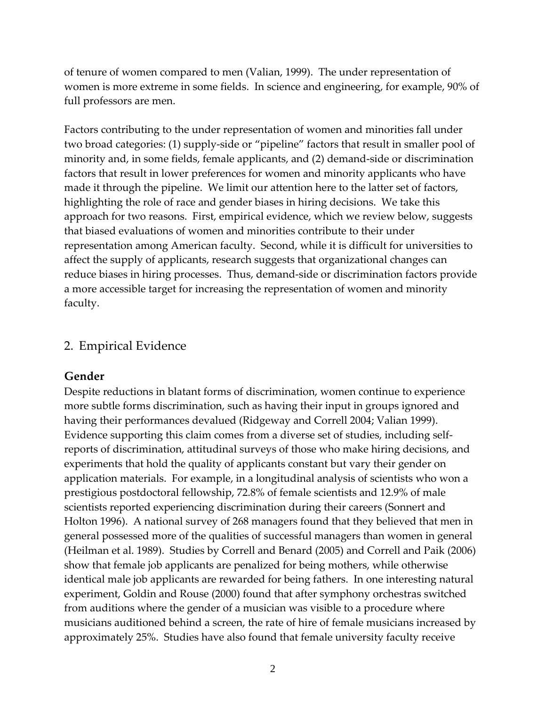of tenure of women compared to men (Valian, 1999). The under representation of women is more extreme in some fields. In science and engineering, for example, 90% of full professors are men.

Factors contributing to the under representation of women and minorities fall under two broad categories: (1) supply‐side or "pipeline" factors that result in smaller pool of minority and, in some fields, female applicants, and (2) demand‐side or discrimination factors that result in lower preferences for women and minority applicants who have made it through the pipeline. We limit our attention here to the latter set of factors, highlighting the role of race and gender biases in hiring decisions. We take this approach for two reasons. First, empirical evidence, which we review below, suggests that biased evaluations of women and minorities contribute to their under representation among American faculty. Second, while it is difficult for universities to affect the supply of applicants, research suggests that organizational changes can reduce biases in hiring processes. Thus, demand‐side or discrimination factors provide a more accessible target for increasing the representation of women and minority faculty.

### 2. Empirical Evidence

#### **Gender**

Despite reductions in blatant forms of discrimination, women continue to experience more subtle forms discrimination, such as having their input in groups ignored and having their performances devalued (Ridgeway and Correll 2004; Valian 1999). Evidence supporting this claim comes from a diverse set of studies, including self‐ reports of discrimination, attitudinal surveys of those who make hiring decisions, and experiments that hold the quality of applicants constant but vary their gender on application materials. For example, in a longitudinal analysis of scientists who won a prestigious postdoctoral fellowship, 72.8% of female scientists and 12.9% of male scientists reported experiencing discrimination during their careers (Sonnert and Holton 1996). A national survey of 268 managers found that they believed that men in general possessed more of the qualities of successful managers than women in general (Heilman et al. 1989). Studies by Correll and Benard (2005) and Correll and Paik (2006) show that female job applicants are penalized for being mothers, while otherwise identical male job applicants are rewarded for being fathers. In one interesting natural experiment, Goldin and Rouse (2000) found that after symphony orchestras switched from auditions where the gender of a musician was visible to a procedure where musicians auditioned behind a screen, the rate of hire of female musicians increased by approximately 25%. Studies have also found that female university faculty receive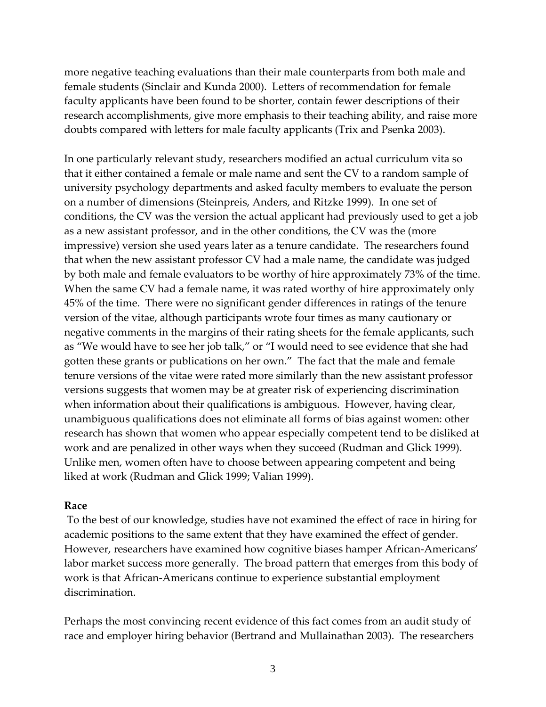more negative teaching evaluations than their male counterparts from both male and female students (Sinclair and Kunda 2000). Letters of recommendation for female faculty applicants have been found to be shorter, contain fewer descriptions of their research accomplishments, give more emphasis to their teaching ability, and raise more doubts compared with letters for male faculty applicants (Trix and Psenka 2003).

In one particularly relevant study, researchers modified an actual curriculum vita so that it either contained a female or male name and sent the CV to a random sample of university psychology departments and asked faculty members to evaluate the person on a number of dimensions (Steinpreis, Anders, and Ritzke 1999). In one set of conditions, the CV was the version the actual applicant had previously used to get a job as a new assistant professor, and in the other conditions, the CV was the (more impressive) version she used years later as a tenure candidate. The researchers found that when the new assistant professor CV had a male name, the candidate was judged by both male and female evaluators to be worthy of hire approximately 73% of the time. When the same CV had a female name, it was rated worthy of hire approximately only 45% of the time. There were no significant gender differences in ratings of the tenure version of the vitae, although participants wrote four times as many cautionary or negative comments in the margins of their rating sheets for the female applicants, such as "We would have to see her job talk," or "I would need to see evidence that she had gotten these grants or publications on her own." The fact that the male and female tenure versions of the vitae were rated more similarly than the new assistant professor versions suggests that women may be at greater risk of experiencing discrimination when information about their qualifications is ambiguous. However, having clear, unambiguous qualifications does not eliminate all forms of bias against women: other research has shown that women who appear especially competent tend to be disliked at work and are penalized in other ways when they succeed (Rudman and Glick 1999). Unlike men, women often have to choose between appearing competent and being liked at work (Rudman and Glick 1999; Valian 1999).

#### **Race**

To the best of our knowledge, studies have not examined the effect of race in hiring for academic positions to the same extent that they have examined the effect of gender. However, researchers have examined how cognitive biases hamper African‐Americans' labor market success more generally. The broad pattern that emerges from this body of work is that African‐Americans continue to experience substantial employment discrimination.

Perhaps the most convincing recent evidence of this fact comes from an audit study of race and employer hiring behavior (Bertrand and Mullainathan 2003). The researchers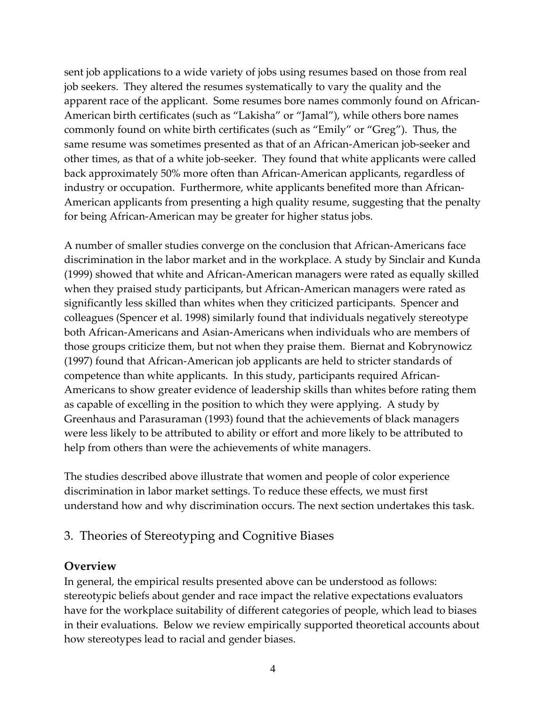sent job applications to a wide variety of jobs using resumes based on those from real job seekers. They altered the resumes systematically to vary the quality and the apparent race of the applicant. Some resumes bore names commonly found on African‐ American birth certificates (such as "Lakisha" or "Jamal"), while others bore names commonly found on white birth certificates (such as "Emily" or "Greg"). Thus, the same resume was sometimes presented as that of an African–American job-seeker and other times, as that of a white job-seeker. They found that white applicants were called back approximately 50% more often than African‐American applicants, regardless of industry or occupation. Furthermore, white applicants benefited more than African-American applicants from presenting a high quality resume, suggesting that the penalty for being African‐American may be greater for higher status jobs.

A number of smaller studies converge on the conclusion that African‐Americans face discrimination in the labor market and in the workplace. A study by Sinclair and Kunda (1999) showed that white and African‐American managers were rated as equally skilled when they praised study participants, but African-American managers were rated as significantly less skilled than whites when they criticized participants. Spencer and colleagues (Spencer et al. 1998) similarly found that individuals negatively stereotype both African‐Americans and Asian‐Americans when individuals who are members of those groups criticize them, but not when they praise them. Biernat and Kobrynowicz (1997) found that African‐American job applicants are held to stricter standards of competence than white applicants. In this study, participants required African‐ Americans to show greater evidence of leadership skills than whites before rating them as capable of excelling in the position to which they were applying. A study by Greenhaus and Parasuraman (1993) found that the achievements of black managers were less likely to be attributed to ability or effort and more likely to be attributed to help from others than were the achievements of white managers.

The studies described above illustrate that women and people of color experience discrimination in labor market settings. To reduce these effects, we must first understand how and why discrimination occurs. The next section undertakes this task.

### 3. Theories of Stereotyping and Cognitive Biases

### **Overview**

In general, the empirical results presented above can be understood as follows: stereotypic beliefs about gender and race impact the relative expectations evaluators have for the workplace suitability of different categories of people, which lead to biases in their evaluations. Below we review empirically supported theoretical accounts about how stereotypes lead to racial and gender biases.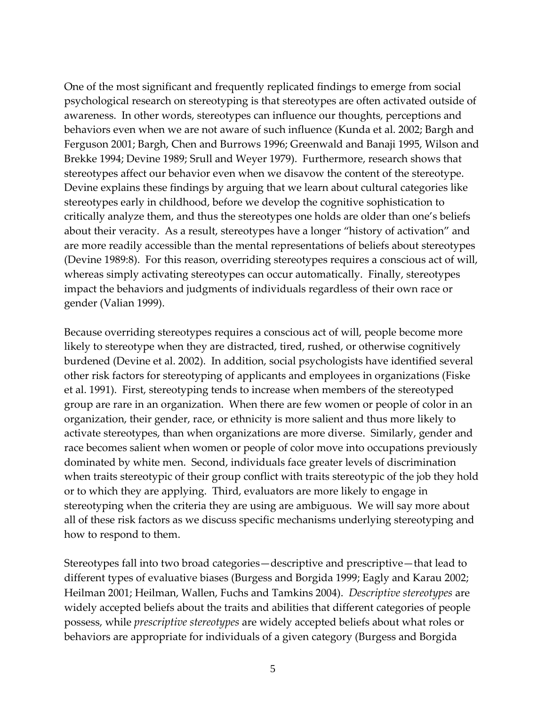One of the most significant and frequently replicated findings to emerge from social psychological research on stereotyping is that stereotypes are often activated outside of awareness. In other words, stereotypes can influence our thoughts, perceptions and behaviors even when we are not aware of such influence (Kunda et al. 2002; Bargh and Ferguson 2001; Bargh, Chen and Burrows 1996; Greenwald and Banaji 1995, Wilson and Brekke 1994; Devine 1989; Srull and Weyer 1979). Furthermore, research shows that stereotypes affect our behavior even when we disavow the content of the stereotype. Devine explains these findings by arguing that we learn about cultural categories like stereotypes early in childhood, before we develop the cognitive sophistication to critically analyze them, and thus the stereotypes one holds are older than one's beliefs about their veracity. As a result, stereotypes have a longer "history of activation" and are more readily accessible than the mental representations of beliefs about stereotypes (Devine 1989:8). For this reason, overriding stereotypes requires a conscious act of will, whereas simply activating stereotypes can occur automatically. Finally, stereotypes impact the behaviors and judgments of individuals regardless of their own race or gender (Valian 1999).

Because overriding stereotypes requires a conscious act of will, people become more likely to stereotype when they are distracted, tired, rushed, or otherwise cognitively burdened (Devine et al. 2002). In addition, social psychologists have identified several other risk factors for stereotyping of applicants and employees in organizations (Fiske et al. 1991). First, stereotyping tends to increase when members of the stereotyped group are rare in an organization. When there are few women or people of color in an organization, their gender, race, or ethnicity is more salient and thus more likely to activate stereotypes, than when organizations are more diverse. Similarly, gender and race becomes salient when women or people of color move into occupations previously dominated by white men. Second, individuals face greater levels of discrimination when traits stereotypic of their group conflict with traits stereotypic of the job they hold or to which they are applying. Third, evaluators are more likely to engage in stereotyping when the criteria they are using are ambiguous. We will say more about all of these risk factors as we discuss specific mechanisms underlying stereotyping and how to respond to them.

Stereotypes fall into two broad categories—descriptive and prescriptive—that lead to different types of evaluative biases (Burgess and Borgida 1999; Eagly and Karau 2002; Heilman 2001; Heilman, Wallen, Fuchs and Tamkins 2004). *Descriptive stereotypes* are widely accepted beliefs about the traits and abilities that different categories of people possess, while *prescriptive stereotypes* are widely accepted beliefs about what roles or behaviors are appropriate for individuals of a given category (Burgess and Borgida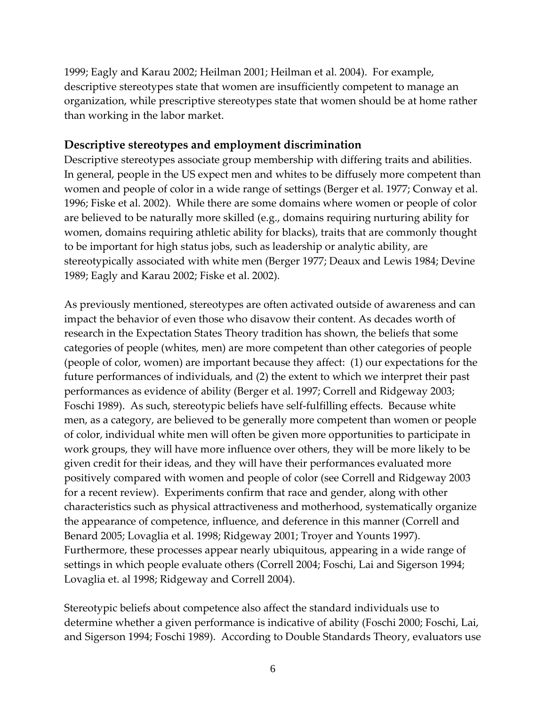1999; Eagly and Karau 2002; Heilman 2001; Heilman et al. 2004). For example, descriptive stereotypes state that women are insufficiently competent to manage an organization, while prescriptive stereotypes state that women should be at home rather than working in the labor market.

#### **Descriptive stereotypes and employment discrimination**

Descriptive stereotypes associate group membership with differing traits and abilities. In general, people in the US expect men and whites to be diffusely more competent than women and people of color in a wide range of settings (Berger et al. 1977; Conway et al. 1996; Fiske et al. 2002). While there are some domains where women or people of color are believed to be naturally more skilled (e.g., domains requiring nurturing ability for women, domains requiring athletic ability for blacks), traits that are commonly thought to be important for high status jobs, such as leadership or analytic ability, are stereotypically associated with white men (Berger 1977; Deaux and Lewis 1984; Devine 1989; Eagly and Karau 2002; Fiske et al. 2002).

As previously mentioned, stereotypes are often activated outside of awareness and can impact the behavior of even those who disavow their content. As decades worth of research in the Expectation States Theory tradition has shown, the beliefs that some categories of people (whites, men) are more competent than other categories of people (people of color, women) are important because they affect: (1) our expectations for the future performances of individuals, and (2) the extent to which we interpret their past performances as evidence of ability (Berger et al. 1997; Correll and Ridgeway 2003; Foschi 1989). As such, stereotypic beliefs have self-fulfilling effects. Because white men, as a category, are believed to be generally more competent than women or people of color, individual white men will often be given more opportunities to participate in work groups, they will have more influence over others, they will be more likely to be given credit for their ideas, and they will have their performances evaluated more positively compared with women and people of color (see Correll and Ridgeway 2003 for a recent review). Experiments confirm that race and gender, along with other characteristics such as physical attractiveness and motherhood, systematically organize the appearance of competence, influence, and deference in this manner (Correll and Benard 2005; Lovaglia et al. 1998; Ridgeway 2001; Troyer and Younts 1997). Furthermore, these processes appear nearly ubiquitous, appearing in a wide range of settings in which people evaluate others (Correll 2004; Foschi, Lai and Sigerson 1994; Lovaglia et. al 1998; Ridgeway and Correll 2004).

Stereotypic beliefs about competence also affect the standard individuals use to determine whether a given performance is indicative of ability (Foschi 2000; Foschi, Lai, and Sigerson 1994; Foschi 1989). According to Double Standards Theory, evaluators use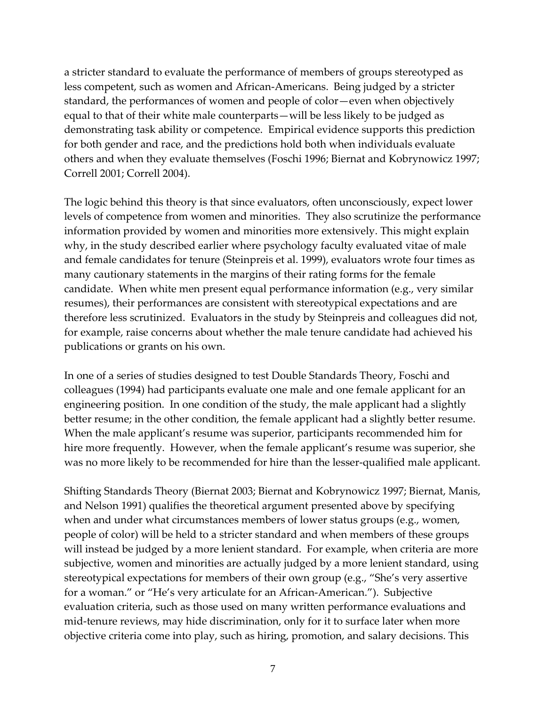a stricter standard to evaluate the performance of members of groups stereotyped as less competent, such as women and African‐Americans. Being judged by a stricter standard, the performances of women and people of color—even when objectively equal to that of their white male counterparts—will be less likely to be judged as demonstrating task ability or competence. Empirical evidence supports this prediction for both gender and race, and the predictions hold both when individuals evaluate others and when they evaluate themselves (Foschi 1996; Biernat and Kobrynowicz 1997; Correll 2001; Correll 2004).

The logic behind this theory is that since evaluators, often unconsciously, expect lower levels of competence from women and minorities. They also scrutinize the performance information provided by women and minorities more extensively. This might explain why, in the study described earlier where psychology faculty evaluated vitae of male and female candidates for tenure (Steinpreis et al. 1999), evaluators wrote four times as many cautionary statements in the margins of their rating forms for the female candidate. When white men present equal performance information (e.g., very similar resumes), their performances are consistent with stereotypical expectations and are therefore less scrutinized. Evaluators in the study by Steinpreis and colleagues did not, for example, raise concerns about whether the male tenure candidate had achieved his publications or grants on his own.

In one of a series of studies designed to test Double Standards Theory, Foschi and colleagues (1994) had participants evaluate one male and one female applicant for an engineering position. In one condition of the study, the male applicant had a slightly better resume; in the other condition, the female applicant had a slightly better resume. When the male applicant's resume was superior, participants recommended him for hire more frequently. However, when the female applicant's resume was superior, she was no more likely to be recommended for hire than the lesser-qualified male applicant.

Shifting Standards Theory (Biernat 2003; Biernat and Kobrynowicz 1997; Biernat, Manis, and Nelson 1991) qualifies the theoretical argument presented above by specifying when and under what circumstances members of lower status groups (e.g., women, people of color) will be held to a stricter standard and when members of these groups will instead be judged by a more lenient standard. For example, when criteria are more subjective, women and minorities are actually judged by a more lenient standard, using stereotypical expectations for members of their own group (e.g., "She's very assertive for a woman." or "He's very articulate for an African‐American."). Subjective evaluation criteria, such as those used on many written performance evaluations and mid-tenure reviews, may hide discrimination, only for it to surface later when more objective criteria come into play, such as hiring, promotion, and salary decisions. This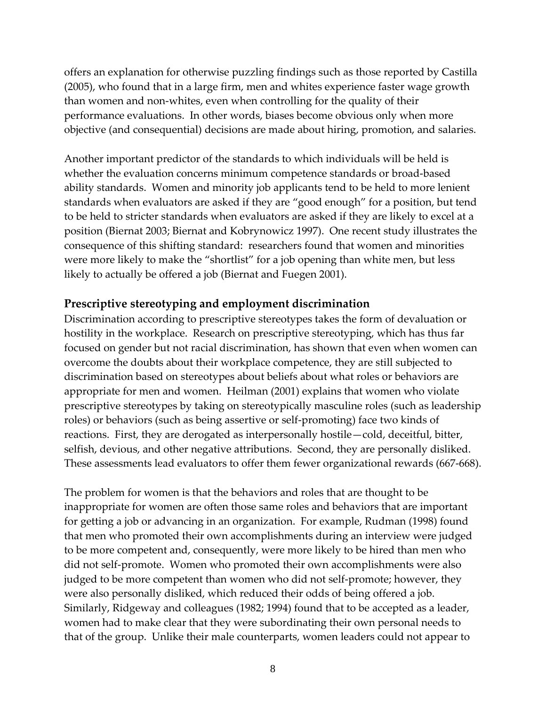offers an explanation for otherwise puzzling findings such as those reported by Castilla (2005), who found that in a large firm, men and whites experience faster wage growth than women and non‐whites, even when controlling for the quality of their performance evaluations. In other words, biases become obvious only when more objective (and consequential) decisions are made about hiring, promotion, and salaries.

Another important predictor of the standards to which individuals will be held is whether the evaluation concerns minimum competence standards or broad‐based ability standards. Women and minority job applicants tend to be held to more lenient standards when evaluators are asked if they are "good enough" for a position, but tend to be held to stricter standards when evaluators are asked if they are likely to excel at a position (Biernat 2003; Biernat and Kobrynowicz 1997). One recent study illustrates the consequence of this shifting standard: researchers found that women and minorities were more likely to make the "shortlist" for a job opening than white men, but less likely to actually be offered a job (Biernat and Fuegen 2001).

#### **Prescriptive stereotyping and employment discrimination**

Discrimination according to prescriptive stereotypes takes the form of devaluation or hostility in the workplace. Research on prescriptive stereotyping, which has thus far focused on gender but not racial discrimination, has shown that even when women can overcome the doubts about their workplace competence, they are still subjected to discrimination based on stereotypes about beliefs about what roles or behaviors are appropriate for men and women. Heilman (2001) explains that women who violate prescriptive stereotypes by taking on stereotypically masculine roles (such as leadership roles) or behaviors (such as being assertive or self‐promoting) face two kinds of reactions. First, they are derogated as interpersonally hostile—cold, deceitful, bitter, selfish, devious, and other negative attributions. Second, they are personally disliked. These assessments lead evaluators to offer them fewer organizational rewards (667‐668).

The problem for women is that the behaviors and roles that are thought to be inappropriate for women are often those same roles and behaviors that are important for getting a job or advancing in an organization. For example, Rudman (1998) found that men who promoted their own accomplishments during an interview were judged to be more competent and, consequently, were more likely to be hired than men who did not self‐promote. Women who promoted their own accomplishments were also judged to be more competent than women who did not self‐promote; however, they were also personally disliked, which reduced their odds of being offered a job. Similarly, Ridgeway and colleagues (1982; 1994) found that to be accepted as a leader, women had to make clear that they were subordinating their own personal needs to that of the group. Unlike their male counterparts, women leaders could not appear to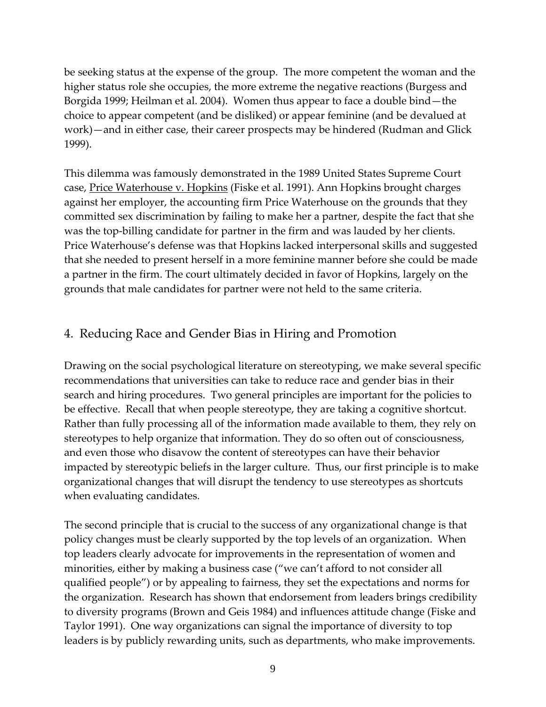be seeking status at the expense of the group. The more competent the woman and the higher status role she occupies, the more extreme the negative reactions (Burgess and Borgida 1999; Heilman et al. 2004). Women thus appear to face a double bind—the choice to appear competent (and be disliked) or appear feminine (and be devalued at work)—and in either case, their career prospects may be hindered (Rudman and Glick 1999).

This dilemma was famously demonstrated in the 1989 United States Supreme Court case, Price Waterhouse v. Hopkins (Fiske et al. 1991). Ann Hopkins brought charges against her employer, the accounting firm Price Waterhouse on the grounds that they committed sex discrimination by failing to make her a partner, despite the fact that she was the top-billing candidate for partner in the firm and was lauded by her clients. Price Waterhouse's defense was that Hopkins lacked interpersonal skills and suggested that she needed to present herself in a more feminine manner before she could be made a partner in the firm. The court ultimately decided in favor of Hopkins, largely on the grounds that male candidates for partner were not held to the same criteria.

## 4. Reducing Race and Gender Bias in Hiring and Promotion

Drawing on the social psychological literature on stereotyping, we make several specific recommendations that universities can take to reduce race and gender bias in their search and hiring procedures. Two general principles are important for the policies to be effective. Recall that when people stereotype, they are taking a cognitive shortcut. Rather than fully processing all of the information made available to them, they rely on stereotypes to help organize that information. They do so often out of consciousness, and even those who disavow the content of stereotypes can have their behavior impacted by stereotypic beliefs in the larger culture. Thus, our first principle is to make organizational changes that will disrupt the tendency to use stereotypes as shortcuts when evaluating candidates.

The second principle that is crucial to the success of any organizational change is that policy changes must be clearly supported by the top levels of an organization. When top leaders clearly advocate for improvements in the representation of women and minorities, either by making a business case ("we can't afford to not consider all qualified people") or by appealing to fairness, they set the expectations and norms for the organization. Research has shown that endorsement from leaders brings credibility to diversity programs (Brown and Geis 1984) and influences attitude change (Fiske and Taylor 1991). One way organizations can signal the importance of diversity to top leaders is by publicly rewarding units, such as departments, who make improvements.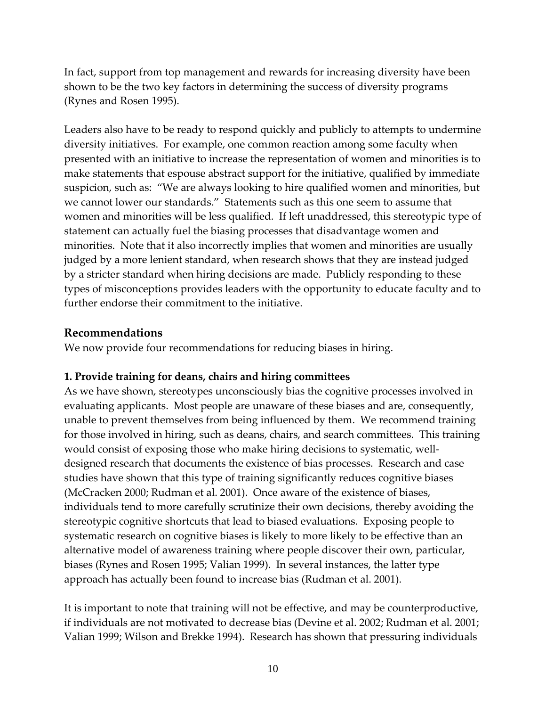In fact, support from top management and rewards for increasing diversity have been shown to be the two key factors in determining the success of diversity programs (Rynes and Rosen 1995).

Leaders also have to be ready to respond quickly and publicly to attempts to undermine diversity initiatives. For example, one common reaction among some faculty when presented with an initiative to increase the representation of women and minorities is to make statements that espouse abstract support for the initiative, qualified by immediate suspicion, such as: "We are always looking to hire qualified women and minorities, but we cannot lower our standards." Statements such as this one seem to assume that women and minorities will be less qualified. If left unaddressed, this stereotypic type of statement can actually fuel the biasing processes that disadvantage women and minorities. Note that it also incorrectly implies that women and minorities are usually judged by a more lenient standard, when research shows that they are instead judged by a stricter standard when hiring decisions are made. Publicly responding to these types of misconceptions provides leaders with the opportunity to educate faculty and to further endorse their commitment to the initiative.

#### **Recommendations**

We now provide four recommendations for reducing biases in hiring.

#### **1. Provide training for deans, chairs and hiring committees**

As we have shown, stereotypes unconsciously bias the cognitive processes involved in evaluating applicants. Most people are unaware of these biases and are, consequently, unable to prevent themselves from being influenced by them. We recommend training for those involved in hiring, such as deans, chairs, and search committees. This training would consist of exposing those who make hiring decisions to systematic, welldesigned research that documents the existence of bias processes. Research and case studies have shown that this type of training significantly reduces cognitive biases (McCracken 2000; Rudman et al. 2001). Once aware of the existence of biases, individuals tend to more carefully scrutinize their own decisions, thereby avoiding the stereotypic cognitive shortcuts that lead to biased evaluations. Exposing people to systematic research on cognitive biases is likely to more likely to be effective than an alternative model of awareness training where people discover their own, particular, biases (Rynes and Rosen 1995; Valian 1999). In several instances, the latter type approach has actually been found to increase bias (Rudman et al. 2001).

It is important to note that training will not be effective, and may be counterproductive, if individuals are not motivated to decrease bias (Devine et al. 2002; Rudman et al. 2001; Valian 1999; Wilson and Brekke 1994). Research has shown that pressuring individuals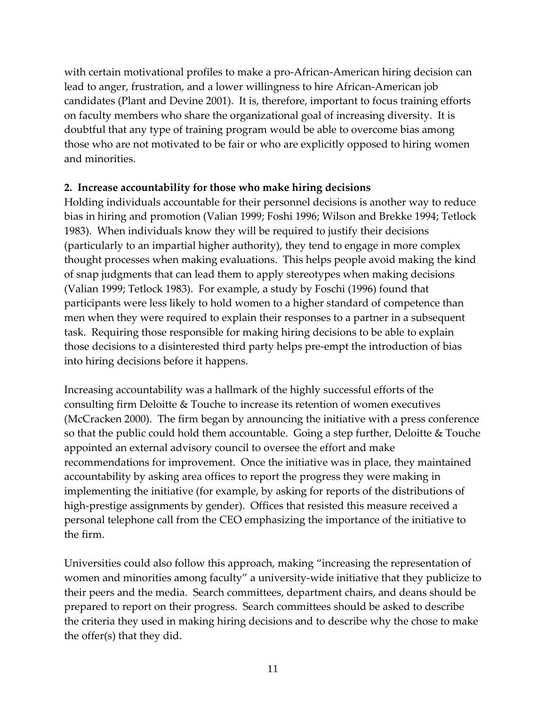with certain motivational profiles to make a pro‐African‐American hiring decision can lead to anger, frustration, and a lower willingness to hire African‐American job candidates (Plant and Devine 2001). It is, therefore, important to focus training efforts on faculty members who share the organizational goal of increasing diversity. It is doubtful that any type of training program would be able to overcome bias among those who are not motivated to be fair or who are explicitly opposed to hiring women and minorities.

#### **2. Increase accountability for those who make hiring decisions**

Holding individuals accountable for their personnel decisions is another way to reduce bias in hiring and promotion (Valian 1999; Foshi 1996; Wilson and Brekke 1994; Tetlock 1983). When individuals know they will be required to justify their decisions (particularly to an impartial higher authority), they tend to engage in more complex thought processes when making evaluations. This helps people avoid making the kind of snap judgments that can lead them to apply stereotypes when making decisions (Valian 1999; Tetlock 1983). For example, a study by Foschi (1996) found that participants were less likely to hold women to a higher standard of competence than men when they were required to explain their responses to a partner in a subsequent task. Requiring those responsible for making hiring decisions to be able to explain those decisions to a disinterested third party helps pre‐empt the introduction of bias into hiring decisions before it happens.

Increasing accountability was a hallmark of the highly successful efforts of the consulting firm Deloitte & Touche to increase its retention of women executives (McCracken 2000). The firm began by announcing the initiative with a press conference so that the public could hold them accountable. Going a step further, Deloitte & Touche appointed an external advisory council to oversee the effort and make recommendations for improvement. Once the initiative was in place, they maintained accountability by asking area offices to report the progress they were making in implementing the initiative (for example, by asking for reports of the distributions of high-prestige assignments by gender). Offices that resisted this measure received a personal telephone call from the CEO emphasizing the importance of the initiative to the firm.

Universities could also follow this approach, making "increasing the representation of women and minorities among faculty" a university-wide initiative that they publicize to their peers and the media. Search committees, department chairs, and deans should be prepared to report on their progress. Search committees should be asked to describe the criteria they used in making hiring decisions and to describe why the chose to make the offer(s) that they did.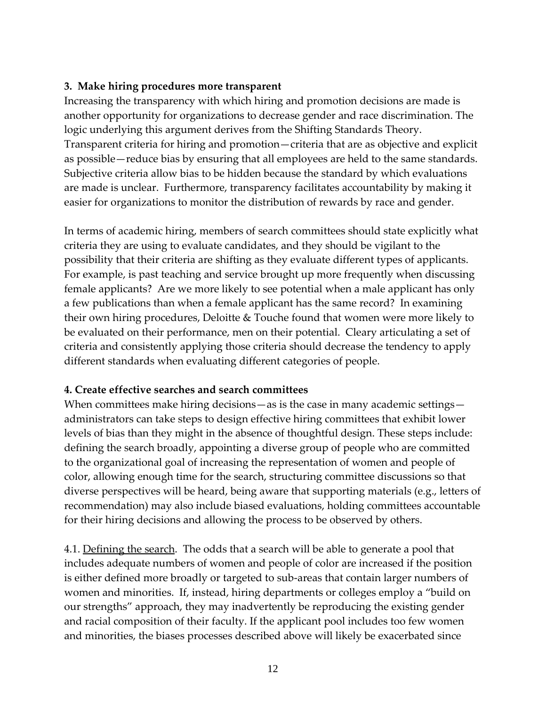### **3. Make hiring procedures more transparent**

Increasing the transparency with which hiring and promotion decisions are made is another opportunity for organizations to decrease gender and race discrimination. The logic underlying this argument derives from the Shifting Standards Theory. Transparent criteria for hiring and promotion—criteria that are as objective and explicit as possible—reduce bias by ensuring that all employees are held to the same standards. Subjective criteria allow bias to be hidden because the standard by which evaluations are made is unclear. Furthermore, transparency facilitates accountability by making it easier for organizations to monitor the distribution of rewards by race and gender.

In terms of academic hiring, members of search committees should state explicitly what criteria they are using to evaluate candidates, and they should be vigilant to the possibility that their criteria are shifting as they evaluate different types of applicants. For example, is past teaching and service brought up more frequently when discussing female applicants? Are we more likely to see potential when a male applicant has only a few publications than when a female applicant has the same record? In examining their own hiring procedures, Deloitte & Touche found that women were more likely to be evaluated on their performance, men on their potential. Cleary articulating a set of criteria and consistently applying those criteria should decrease the tendency to apply different standards when evaluating different categories of people.

#### **4. Create effective searches and search committees**

When committees make hiring decisions—as is the case in many academic settings administrators can take steps to design effective hiring committees that exhibit lower levels of bias than they might in the absence of thoughtful design. These steps include: defining the search broadly, appointing a diverse group of people who are committed to the organizational goal of increasing the representation of women and people of color, allowing enough time for the search, structuring committee discussions so that diverse perspectives will be heard, being aware that supporting materials (e.g., letters of recommendation) may also include biased evaluations, holding committees accountable for their hiring decisions and allowing the process to be observed by others.

4.1. Defining the search. The odds that a search will be able to generate a pool that includes adequate numbers of women and people of color are increased if the position is either defined more broadly or targeted to sub‐areas that contain larger numbers of women and minorities. If, instead, hiring departments or colleges employ a "build on our strengths" approach, they may inadvertently be reproducing the existing gender and racial composition of their faculty. If the applicant pool includes too few women and minorities, the biases processes described above will likely be exacerbated since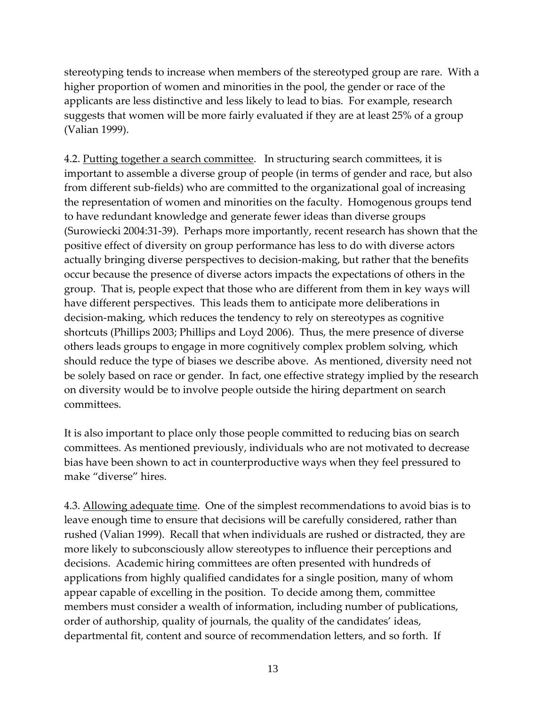stereotyping tends to increase when members of the stereotyped group are rare. With a higher proportion of women and minorities in the pool, the gender or race of the applicants are less distinctive and less likely to lead to bias. For example, research suggests that women will be more fairly evaluated if they are at least 25% of a group (Valian 1999).

4.2. Putting together a search committee. In structuring search committees, it is important to assemble a diverse group of people (in terms of gender and race, but also from different sub‐fields) who are committed to the organizational goal of increasing the representation of women and minorities on the faculty. Homogenous groups tend to have redundant knowledge and generate fewer ideas than diverse groups (Surowiecki 2004:31‐39). Perhaps more importantly, recent research has shown that the positive effect of diversity on group performance has less to do with diverse actors actually bringing diverse perspectives to decision‐making, but rather that the benefits occur because the presence of diverse actors impacts the expectations of others in the group. That is, people expect that those who are different from them in key ways will have different perspectives. This leads them to anticipate more deliberations in decision‐making, which reduces the tendency to rely on stereotypes as cognitive shortcuts (Phillips 2003; Phillips and Loyd 2006). Thus, the mere presence of diverse others leads groups to engage in more cognitively complex problem solving, which should reduce the type of biases we describe above. As mentioned, diversity need not be solely based on race or gender. In fact, one effective strategy implied by the research on diversity would be to involve people outside the hiring department on search committees.

It is also important to place only those people committed to reducing bias on search committees. As mentioned previously, individuals who are not motivated to decrease bias have been shown to act in counterproductive ways when they feel pressured to make "diverse" hires.

4.3. Allowing adequate time. One of the simplest recommendations to avoid bias is to leave enough time to ensure that decisions will be carefully considered, rather than rushed (Valian 1999). Recall that when individuals are rushed or distracted, they are more likely to subconsciously allow stereotypes to influence their perceptions and decisions. Academic hiring committees are often presented with hundreds of applications from highly qualified candidates for a single position, many of whom appear capable of excelling in the position. To decide among them, committee members must consider a wealth of information, including number of publications, order of authorship, quality of journals, the quality of the candidates' ideas, departmental fit, content and source of recommendation letters, and so forth. If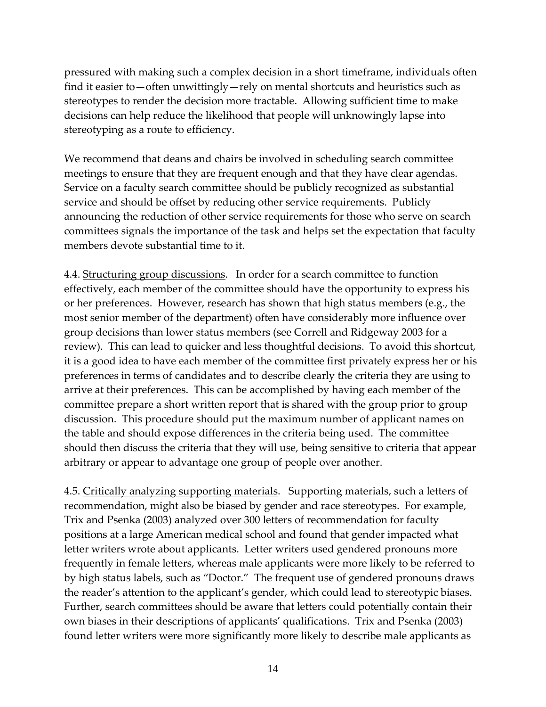pressured with making such a complex decision in a short timeframe, individuals often find it easier to—often unwittingly—rely on mental shortcuts and heuristics such as stereotypes to render the decision more tractable. Allowing sufficient time to make decisions can help reduce the likelihood that people will unknowingly lapse into stereotyping as a route to efficiency.

We recommend that deans and chairs be involved in scheduling search committee meetings to ensure that they are frequent enough and that they have clear agendas. Service on a faculty search committee should be publicly recognized as substantial service and should be offset by reducing other service requirements. Publicly announcing the reduction of other service requirements for those who serve on search committees signals the importance of the task and helps set the expectation that faculty members devote substantial time to it.

4.4. Structuring group discussions. In order for a search committee to function effectively, each member of the committee should have the opportunity to express his or her preferences. However, research has shown that high status members (e.g., the most senior member of the department) often have considerably more influence over group decisions than lower status members (see Correll and Ridgeway 2003 for a review). This can lead to quicker and less thoughtful decisions. To avoid this shortcut, it is a good idea to have each member of the committee first privately express her or his preferences in terms of candidates and to describe clearly the criteria they are using to arrive at their preferences. This can be accomplished by having each member of the committee prepare a short written report that is shared with the group prior to group discussion. This procedure should put the maximum number of applicant names on the table and should expose differences in the criteria being used. The committee should then discuss the criteria that they will use, being sensitive to criteria that appear arbitrary or appear to advantage one group of people over another.

4.5. Critically analyzing supporting materials. Supporting materials, such a letters of recommendation, might also be biased by gender and race stereotypes. For example, Trix and Psenka (2003) analyzed over 300 letters of recommendation for faculty positions at a large American medical school and found that gender impacted what letter writers wrote about applicants. Letter writers used gendered pronouns more frequently in female letters, whereas male applicants were more likely to be referred to by high status labels, such as "Doctor." The frequent use of gendered pronouns draws the reader's attention to the applicant's gender, which could lead to stereotypic biases. Further, search committees should be aware that letters could potentially contain their own biases in their descriptions of applicants' qualifications. Trix and Psenka (2003) found letter writers were more significantly more likely to describe male applicants as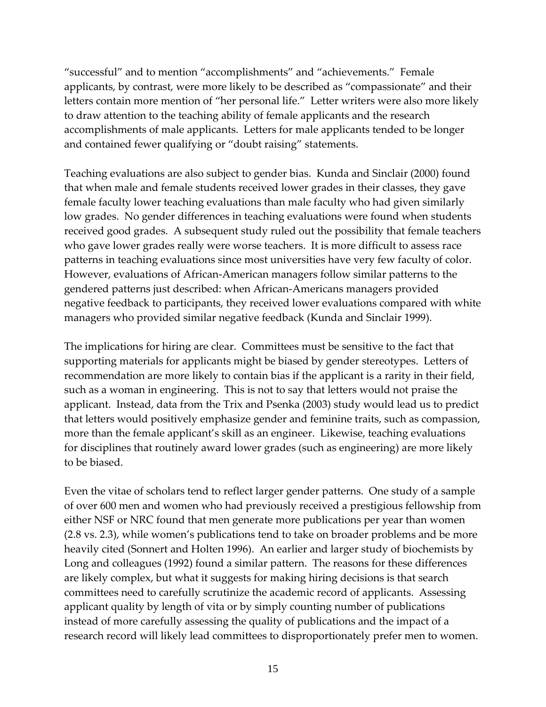"successful" and to mention "accomplishments" and "achievements." Female applicants, by contrast, were more likely to be described as "compassionate" and their letters contain more mention of "her personal life." Letter writers were also more likely to draw attention to the teaching ability of female applicants and the research accomplishments of male applicants. Letters for male applicants tended to be longer and contained fewer qualifying or "doubt raising" statements.

Teaching evaluations are also subject to gender bias. Kunda and Sinclair (2000) found that when male and female students received lower grades in their classes, they gave female faculty lower teaching evaluations than male faculty who had given similarly low grades. No gender differences in teaching evaluations were found when students received good grades. A subsequent study ruled out the possibility that female teachers who gave lower grades really were worse teachers. It is more difficult to assess race patterns in teaching evaluations since most universities have very few faculty of color. However, evaluations of African‐American managers follow similar patterns to the gendered patterns just described: when African‐Americans managers provided negative feedback to participants, they received lower evaluations compared with white managers who provided similar negative feedback (Kunda and Sinclair 1999).

The implications for hiring are clear. Committees must be sensitive to the fact that supporting materials for applicants might be biased by gender stereotypes. Letters of recommendation are more likely to contain bias if the applicant is a rarity in their field, such as a woman in engineering. This is not to say that letters would not praise the applicant. Instead, data from the Trix and Psenka (2003) study would lead us to predict that letters would positively emphasize gender and feminine traits, such as compassion, more than the female applicant's skill as an engineer. Likewise, teaching evaluations for disciplines that routinely award lower grades (such as engineering) are more likely to be biased.

Even the vitae of scholars tend to reflect larger gender patterns. One study of a sample of over 600 men and women who had previously received a prestigious fellowship from either NSF or NRC found that men generate more publications per year than women (2.8 vs. 2.3), while women's publications tend to take on broader problems and be more heavily cited (Sonnert and Holten 1996). An earlier and larger study of biochemists by Long and colleagues (1992) found a similar pattern. The reasons for these differences are likely complex, but what it suggests for making hiring decisions is that search committees need to carefully scrutinize the academic record of applicants. Assessing applicant quality by length of vita or by simply counting number of publications instead of more carefully assessing the quality of publications and the impact of a research record will likely lead committees to disproportionately prefer men to women.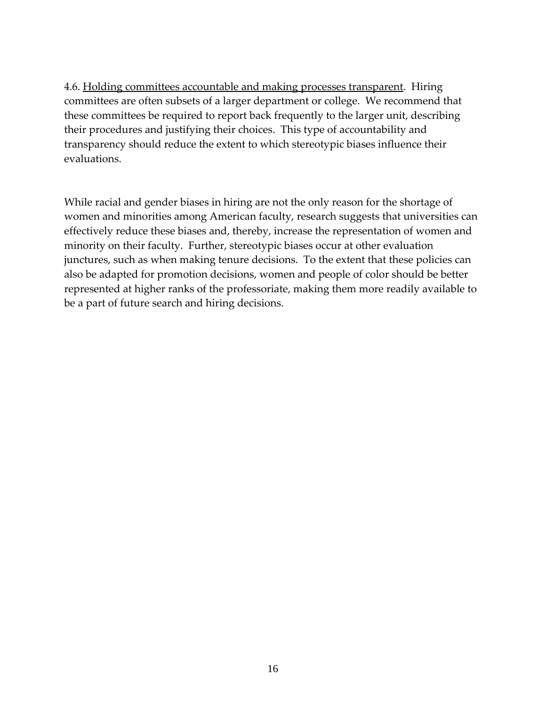4.6. Holding committees accountable and making processes transparent. Hiring committees are often subsets of a larger department or college. We recommend that these committees be required to report back frequently to the larger unit, describing their procedures and justifying their choices. This type of accountability and transparency should reduce the extent to which stereotypic biases influence their evaluations.

While racial and gender biases in hiring are not the only reason for the shortage of women and minorities among American faculty, research suggests that universities can effectively reduce these biases and, thereby, increase the representation of women and minority on their faculty. Further, stereotypic biases occur at other evaluation junctures, such as when making tenure decisions. To the extent that these policies can also be adapted for promotion decisions, women and people of color should be better represented at higher ranks of the professoriate, making them more readily available to be a part of future search and hiring decisions.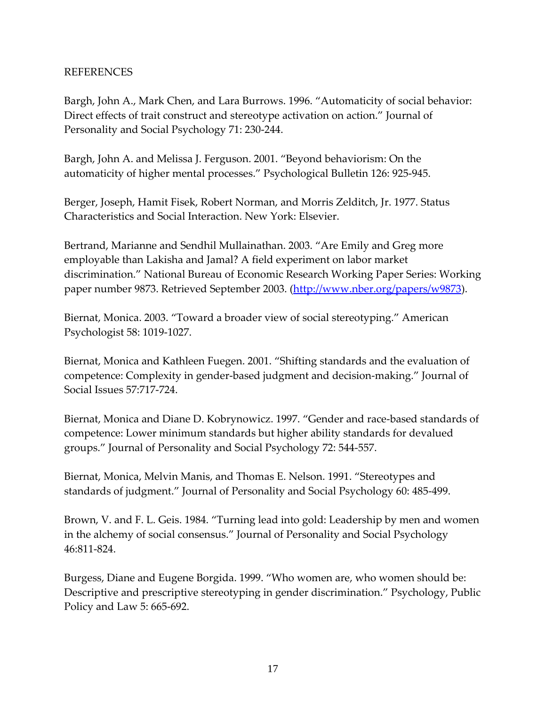#### REFERENCES

Bargh, John A., Mark Chen, and Lara Burrows. 1996. "Automaticity of social behavior: Direct effects of trait construct and stereotype activation on action." Journal of Personality and Social Psychology 71: 230‐244.

Bargh, John A. and Melissa J. Ferguson. 2001. "Beyond behaviorism: On the automaticity of higher mental processes." Psychological Bulletin 126: 925‐945.

Berger, Joseph, Hamit Fisek, Robert Norman, and Morris Zelditch, Jr. 1977. Status Characteristics and Social Interaction. New York: Elsevier.

Bertrand, Marianne and Sendhil Mullainathan. 2003. "Are Emily and Greg more employable than Lakisha and Jamal? A field experiment on labor market discrimination." National Bureau of Economic Research Working Paper Series: Working paper number 9873. Retrieved September 2003. (http://www.nber.org/papers/w9873).

Biernat, Monica. 2003. "Toward a broader view of social stereotyping." American Psychologist 58: 1019‐1027.

Biernat, Monica and Kathleen Fuegen. 2001. "Shifting standards and the evaluation of competence: Complexity in gender‐based judgment and decision‐making." Journal of Social Issues 57:717‐724.

Biernat, Monica and Diane D. Kobrynowicz. 1997. "Gender and race-based standards of competence: Lower minimum standards but higher ability standards for devalued groups." Journal of Personality and Social Psychology 72: 544‐557.

Biernat, Monica, Melvin Manis, and Thomas E. Nelson. 1991. "Stereotypes and standards of judgment." Journal of Personality and Social Psychology 60: 485‐499.

Brown, V. and F. L. Geis. 1984. "Turning lead into gold: Leadership by men and women in the alchemy of social consensus." Journal of Personality and Social Psychology 46:811‐824.

Burgess, Diane and Eugene Borgida. 1999. "Who women are, who women should be: Descriptive and prescriptive stereotyping in gender discrimination." Psychology, Public Policy and Law 5: 665‐692.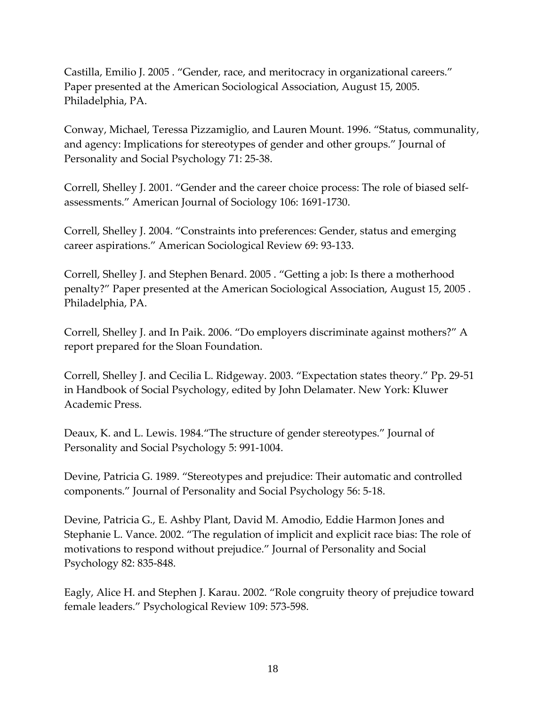Castilla, Emilio J. 2005 . "Gender, race, and meritocracy in organizational careers." Paper presented at the American Sociological Association, August 15, 2005. Philadelphia, PA.

Conway, Michael, Teressa Pizzamiglio, and Lauren Mount. 1996. "Status, communality, and agency: Implications for stereotypes of gender and other groups." Journal of Personality and Social Psychology 71: 25‐38.

Correll, Shelley J. 2001. "Gender and the career choice process: The role of biased self‐ assessments." American Journal of Sociology 106: 1691‐1730.

Correll, Shelley J. 2004. "Constraints into preferences: Gender, status and emerging career aspirations." American Sociological Review 69: 93‐133.

Correll, Shelley J. and Stephen Benard. 2005 . "Getting a job: Is there a motherhood penalty?" Paper presented at the American Sociological Association, August 15, 2005 . Philadelphia, PA.

Correll, Shelley J. and In Paik. 2006. "Do employers discriminate against mothers?" A report prepared for the Sloan Foundation.

Correll, Shelley J. and Cecilia L. Ridgeway. 2003. "Expectation states theory." Pp. 29‐51 in Handbook of Social Psychology, edited by John Delamater. New York: Kluwer Academic Press.

Deaux, K. and L. Lewis. 1984."The structure of gender stereotypes." Journal of Personality and Social Psychology 5: 991‐1004.

Devine, Patricia G. 1989. "Stereotypes and prejudice: Their automatic and controlled components." Journal of Personality and Social Psychology 56: 5‐18.

Devine, Patricia G., E. Ashby Plant, David M. Amodio, Eddie Harmon Jones and Stephanie L. Vance. 2002. "The regulation of implicit and explicit race bias: The role of motivations to respond without prejudice." Journal of Personality and Social Psychology 82: 835‐848.

Eagly, Alice H. and Stephen J. Karau. 2002. "Role congruity theory of prejudice toward female leaders." Psychological Review 109: 573‐598.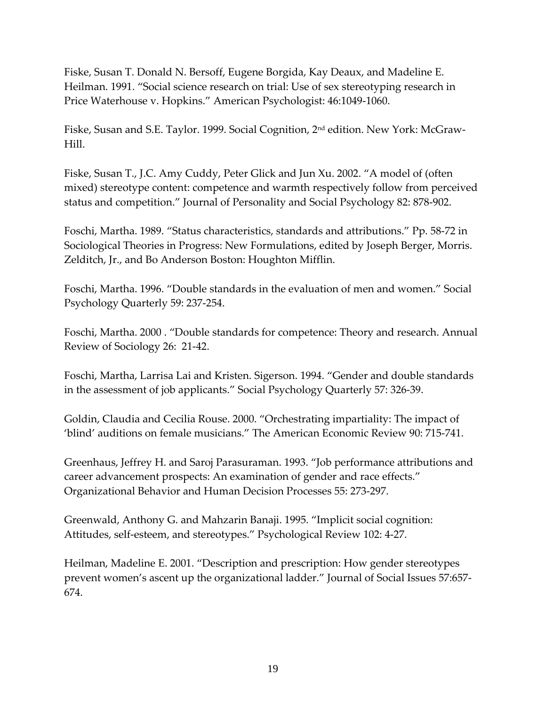Fiske, Susan T. Donald N. Bersoff, Eugene Borgida, Kay Deaux, and Madeline E. Heilman. 1991. "Social science research on trial: Use of sex stereotyping research in Price Waterhouse v. Hopkins." American Psychologist: 46:1049‐1060.

Fiske, Susan and S.E. Taylor. 1999. Social Cognition, 2nd edition. New York: McGraw‐ Hill.

Fiske, Susan T., J.C. Amy Cuddy, Peter Glick and Jun Xu. 2002. "A model of (often mixed) stereotype content: competence and warmth respectively follow from perceived status and competition." Journal of Personality and Social Psychology 82: 878‐902.

Foschi, Martha. 1989. "Status characteristics, standards and attributions." Pp. 58‐72 in Sociological Theories in Progress: New Formulations, edited by Joseph Berger, Morris. Zelditch, Jr., and Bo Anderson Boston: Houghton Mifflin.

Foschi, Martha. 1996. "Double standards in the evaluation of men and women." Social Psychology Quarterly 59: 237‐254.

Foschi, Martha. 2000 . "Double standards for competence: Theory and research. Annual Review of Sociology 26: 21‐42.

Foschi, Martha, Larrisa Lai and Kristen. Sigerson. 1994. "Gender and double standards in the assessment of job applicants." Social Psychology Quarterly 57: 326‐39.

Goldin, Claudia and Cecilia Rouse. 2000. "Orchestrating impartiality: The impact of 'blind' auditions on female musicians." The American Economic Review 90: 715‐741.

Greenhaus, Jeffrey H. and Saroj Parasuraman. 1993. "Job performance attributions and career advancement prospects: An examination of gender and race effects." Organizational Behavior and Human Decision Processes 55: 273‐297.

Greenwald, Anthony G. and Mahzarin Banaji. 1995. "Implicit social cognition: Attitudes, self‐esteem, and stereotypes." Psychological Review 102: 4‐27.

Heilman, Madeline E. 2001. "Description and prescription: How gender stereotypes prevent women's ascent up the organizational ladder." Journal of Social Issues 57:657‐ 674.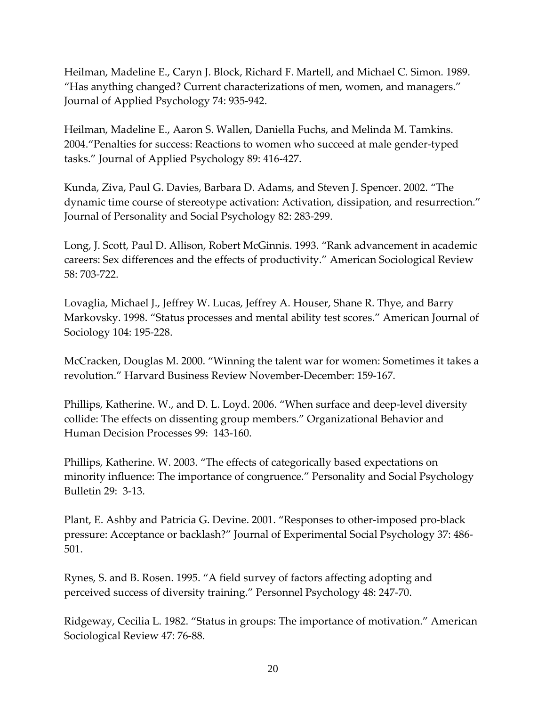Heilman, Madeline E., Caryn J. Block, Richard F. Martell, and Michael C. Simon. 1989. "Has anything changed? Current characterizations of men, women, and managers." Journal of Applied Psychology 74: 935‐942.

Heilman, Madeline E., Aaron S. Wallen, Daniella Fuchs, and Melinda M. Tamkins. 2004."Penalties for success: Reactions to women who succeed at male gender‐typed tasks." Journal of Applied Psychology 89: 416‐427.

Kunda, Ziva, Paul G. Davies, Barbara D. Adams, and Steven J. Spencer. 2002. "The dynamic time course of stereotype activation: Activation, dissipation, and resurrection." Journal of Personality and Social Psychology 82: 283‐299.

Long, J. Scott, Paul D. Allison, Robert McGinnis. 1993. "Rank advancement in academic careers: Sex differences and the effects of productivity." American Sociological Review 58: 703‐722.

Lovaglia, Michael J., Jeffrey W. Lucas, Jeffrey A. Houser, Shane R. Thye, and Barry Markovsky. 1998. "Status processes and mental ability test scores." American Journal of Sociology 104: 195‐228.

McCracken, Douglas M. 2000. "Winning the talent war for women: Sometimes it takes a revolution." Harvard Business Review November‐December: 159‐167.

Phillips, Katherine. W., and D. L. Loyd. 2006. "When surface and deep‐level diversity collide: The effects on dissenting group members." Organizational Behavior and Human Decision Processes 99: 143‐160.

Phillips, Katherine. W. 2003. "The effects of categorically based expectations on minority influence: The importance of congruence." Personality and Social Psychology Bulletin 29: 3‐13.

Plant, E. Ashby and Patricia G. Devine. 2001. "Responses to other‐imposed pro‐black pressure: Acceptance or backlash?" Journal of Experimental Social Psychology 37: 486‐ 501.

Rynes, S. and B. Rosen. 1995. "A field survey of factors affecting adopting and perceived success of diversity training." Personnel Psychology 48: 247‐70.

Ridgeway, Cecilia L. 1982. "Status in groups: The importance of motivation." American Sociological Review 47: 76‐88.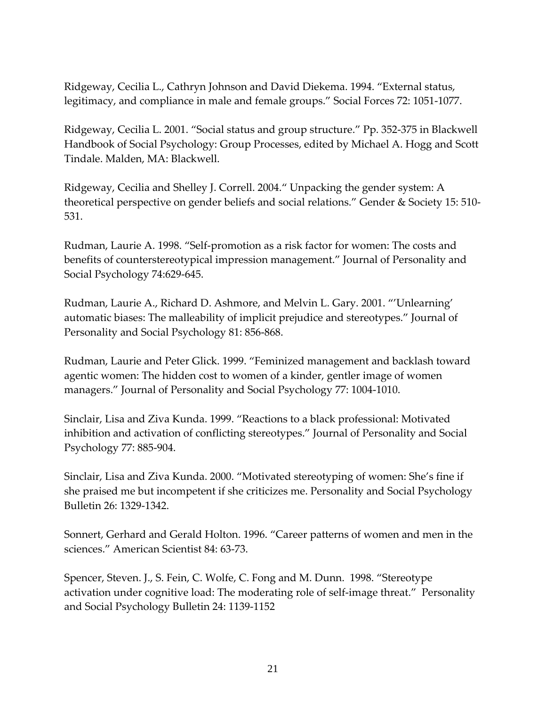Ridgeway, Cecilia L., Cathryn Johnson and David Diekema. 1994. "External status, legitimacy, and compliance in male and female groups." Social Forces 72: 1051‐1077.

Ridgeway, Cecilia L. 2001. "Social status and group structure." Pp. 352‐375 in Blackwell Handbook of Social Psychology: Group Processes, edited by Michael A. Hogg and Scott Tindale. Malden, MA: Blackwell.

Ridgeway, Cecilia and Shelley J. Correll. 2004." Unpacking the gender system: A theoretical perspective on gender beliefs and social relations." Gender & Society 15: 510-531.

Rudman, Laurie A. 1998. "Self‐promotion as a risk factor for women: The costs and benefits of counterstereotypical impression management." Journal of Personality and Social Psychology 74:629‐645.

Rudman, Laurie A., Richard D. Ashmore, and Melvin L. Gary. 2001. "'Unlearning' automatic biases: The malleability of implicit prejudice and stereotypes." Journal of Personality and Social Psychology 81: 856‐868.

Rudman, Laurie and Peter Glick. 1999. "Feminized management and backlash toward agentic women: The hidden cost to women of a kinder, gentler image of women managers." Journal of Personality and Social Psychology 77: 1004‐1010.

Sinclair, Lisa and Ziva Kunda. 1999. "Reactions to a black professional: Motivated inhibition and activation of conflicting stereotypes." Journal of Personality and Social Psychology 77: 885‐904.

Sinclair, Lisa and Ziva Kunda. 2000. "Motivated stereotyping of women: She's fine if she praised me but incompetent if she criticizes me. Personality and Social Psychology Bulletin 26: 1329‐1342.

Sonnert, Gerhard and Gerald Holton. 1996. "Career patterns of women and men in the sciences." American Scientist 84: 63‐73.

Spencer, Steven. J., S. Fein, C. Wolfe, C. Fong and M. Dunn. 1998. "Stereotype activation under cognitive load: The moderating role of self‐image threat." Personality and Social Psychology Bulletin 24: 1139‐1152